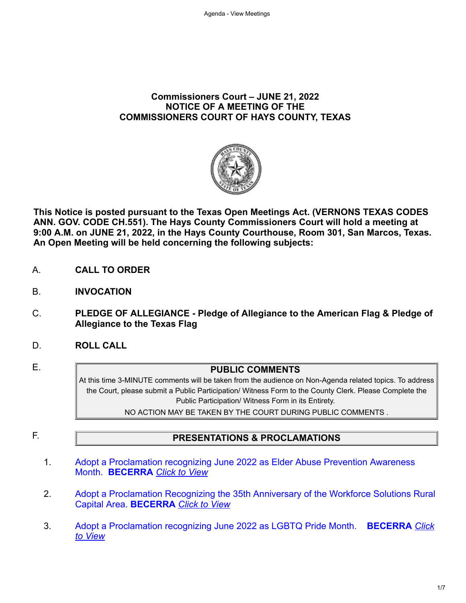#### **Commissioners Court – JUNE 21, 2022 NOTICE OF A MEETING OF THE COMMISSIONERS COURT OF HAYS COUNTY, TEXAS**



**This Notice is posted pursuant to the Texas Open Meetings Act. (VERNONS TEXAS CODES ANN. GOV. CODE CH.551). The Hays County Commissioners Court will hold a meeting at 9:00 A.M. on JUNE 21, 2022, in the Hays County Courthouse, Room 301, San Marcos, Texas. An Open Meeting will be held concerning the following subjects:**

- A. **CALL TO ORDER**
- B. **INVOCATION**
- C. **PLEDGE OF ALLEGIANCE Pledge of Allegiance to the American Flag & Pledge of Allegiance to the Texas Flag**
- D. **ROLL CALL**
- 

#### E. **PUBLIC COMMENTS**

At this time 3-MINUTE comments will be taken from the audience on Non-Agenda related topics. To address the Court, please submit a Public Participation/ Witness Form to the County Clerk. Please Complete the Public Participation/ Witness Form in its Entirety.

NO ACTION MAY BE TAKEN BY THE COURT DURING PUBLIC COMMENTS .

### F. **PRESENTATIONS & PROCLAMATIONS**

- 1. Adopt a Proclamation recognizing [June 2022 as Elder Abuse Prevention Awareness](https://destinyhosted.com/agenda_publish.cfm?id=42972&mt=ALL&get_month=6&get_year=2022&dsp=agm&seq=89&rev=0&ag=3&ln=779&nseq=88&nrev=0&pseq=&prev=) Month. **BECERRA** *[Click to View](https://destinyhosted.com/agenda_publish.cfm?id=42972&mt=ALL&get_month=6&get_year=2022&dsp=agm&seq=89&rev=0&ag=3&ln=779&nseq=88&nrev=0&pseq=&prev=)*
- 2. [Adopt a Proclamation Recognizing the 35th Anniversary of the Workforce Solutions Rural](https://destinyhosted.com/agenda_publish.cfm?id=42972&mt=ALL&get_month=6&get_year=2022&dsp=agm&seq=88&rev=0&ag=3&ln=785&nseq=133&nrev=0&pseq=89&prev=0) Capital Area. **BECERRA** *[Click to View](https://destinyhosted.com/agenda_publish.cfm?id=42972&mt=ALL&get_month=6&get_year=2022&dsp=agm&seq=88&rev=0&ag=3&ln=785&nseq=133&nrev=0&pseq=89&prev=0)*
- 3. [Adopt a Proclamation recognizing June 2022 as LGBTQ Pride Month.](https://destinyhosted.com/agenda_publish.cfm?id=42972&mt=ALL&get_month=6&get_year=2022&dsp=agm&seq=133&rev=0&ag=3&ln=814&nseq=135&nrev=0&pseq=88&prev=0) **BECERRA** *Click to View*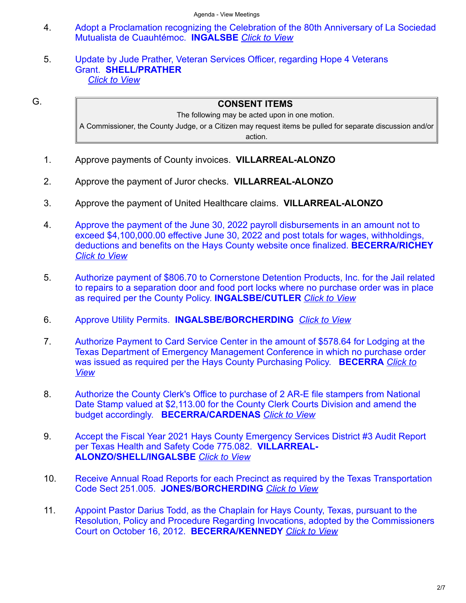- 4. [Adopt a Proclamation recognizing the Celebration of the 80th Anniversary of La Sociedad](https://destinyhosted.com/agenda_publish.cfm?id=42972&mt=ALL&get_month=6&get_year=2022&dsp=agm&seq=135&rev=0&ag=3&ln=819&nseq=131&nrev=0&pseq=133&prev=0) Mutualista de Cuauhtémoc. **INGALSBE** *[Click to View](https://destinyhosted.com/agenda_publish.cfm?id=42972&mt=ALL&get_month=6&get_year=2022&dsp=agm&seq=135&rev=0&ag=3&ln=819&nseq=131&nrev=0&pseq=133&prev=0)*
- 5. Update by Jude Prather, [Veteran Services Officer, regarding](https://destinyhosted.com/agenda_publish.cfm?id=42972&mt=ALL&get_month=6&get_year=2022&dsp=agm&seq=131&rev=0&ag=3&ln=815&nseq=&nrev=&pseq=135&prev=0) Hope 4 Veterans Grant. **SHELL/PRATHER** *[Click to View](https://destinyhosted.com/agenda_publish.cfm?id=42972&mt=ALL&get_month=6&get_year=2022&dsp=agm&seq=131&rev=0&ag=3&ln=815&nseq=&nrev=&pseq=135&prev=0)*

G. **CONSENT ITEMS**

The following may be acted upon in one motion. A Commissioner, the County Judge, or a Citizen may request items be pulled for separate discussion and/or action.

- 1. Approve payments of County invoices. **VILLARREAL-ALONZO**
- 2. Approve the payment of Juror checks. **VILLARREAL-ALONZO**
- 3. Approve the payment of United Healthcare claims. **VILLARREAL-ALONZO**
- 4. Approve the payment of the June 30, 2022 payroll disbursements in an amount not to [exceed \\$4,100,000.00 effective June 30, 2022 and post totals for wages, withholdings,](https://destinyhosted.com/agenda_publish.cfm?id=42972&mt=ALL&get_month=6&get_year=2022&dsp=agm&seq=136&rev=0&ag=3&ln=871&nseq=29&nrev=0&pseq=&prev=) deductions and benefits on the Hays County website once finalized. **BECERRA/RICHEY** *[Click to View](https://destinyhosted.com/agenda_publish.cfm?id=42972&mt=ALL&get_month=6&get_year=2022&dsp=agm&seq=136&rev=0&ag=3&ln=871&nseq=29&nrev=0&pseq=&prev=)*
- 5. [Authorize payment of \\$806.70 to Cornerstone Detention Products, Inc. for the Jail related](https://destinyhosted.com/agenda_publish.cfm?id=42972&mt=ALL&get_month=6&get_year=2022&dsp=agm&seq=29&rev=0&ag=3&ln=766&nseq=97&nrev=0&pseq=136&prev=0) to repairs to a separation door and food port locks where no purchase order was in place as required per the County Policy. **INGALSBE/CUTLER** *[Click to View](https://destinyhosted.com/agenda_publish.cfm?id=42972&mt=ALL&get_month=6&get_year=2022&dsp=agm&seq=29&rev=0&ag=3&ln=766&nseq=97&nrev=0&pseq=136&prev=0)*
- 6. Approve Utility Permits. **[INGALSBE/BORCHERDING](https://destinyhosted.com/agenda_publish.cfm?id=42972&mt=ALL&get_month=6&get_year=2022&dsp=agm&seq=97&rev=0&ag=3&ln=789&nseq=102&nrev=0&pseq=29&prev=0)** *[Click to View](https://destinyhosted.com/agenda_publish.cfm?id=42972&mt=ALL&get_month=6&get_year=2022&dsp=agm&seq=97&rev=0&ag=3&ln=789&nseq=102&nrev=0&pseq=29&prev=0)*
- 7. Authorize Payment to Card Service Center in the amount of \$578.64 for Lodging at the [Texas Department of Emergency Management Conference in which no purchase order](https://destinyhosted.com/agenda_publish.cfm?id=42972&mt=ALL&get_month=6&get_year=2022&dsp=agm&seq=102&rev=0&ag=3&ln=790&nseq=106&nrev=0&pseq=97&prev=0) [was issued as required per the Hays County Purchasing Policy.](https://destinyhosted.com/agenda_publish.cfm?id=42972&mt=ALL&get_month=6&get_year=2022&dsp=agm&seq=102&rev=0&ag=3&ln=790&nseq=106&nrev=0&pseq=97&prev=0) **BECERRA** *Click to View*
- 8. [Authorize the County Clerk's Office to purchase of 2 AR-E file stampers from National](https://destinyhosted.com/agenda_publish.cfm?id=42972&mt=ALL&get_month=6&get_year=2022&dsp=agm&seq=106&rev=0&ag=3&ln=792&nseq=109&nrev=0&pseq=102&prev=0) Date Stamp valued at \$2,113.00 for the County Clerk Courts Division and amend the budget accordingly. **BECERRA/CARDENAS** *[Click to View](https://destinyhosted.com/agenda_publish.cfm?id=42972&mt=ALL&get_month=6&get_year=2022&dsp=agm&seq=106&rev=0&ag=3&ln=792&nseq=109&nrev=0&pseq=102&prev=0)*
- 9. [Accept the Fiscal Year 2021 Hays County Emergency Services District #3 Audit Report](https://destinyhosted.com/agenda_publish.cfm?id=42972&mt=ALL&get_month=6&get_year=2022&dsp=agm&seq=109&rev=0&ag=3&ln=793&nseq=107&nrev=0&pseq=106&prev=0) per Texas Health and Safety Code 775.082. **VILLARREAL-ALONZO/SHELL/INGALSBE** *[Click to View](https://destinyhosted.com/agenda_publish.cfm?id=42972&mt=ALL&get_month=6&get_year=2022&dsp=agm&seq=109&rev=0&ag=3&ln=793&nseq=107&nrev=0&pseq=106&prev=0)*
- 10. [Receive Annual Road Reports for each Precinct as required by the Texas Transportation](https://destinyhosted.com/agenda_publish.cfm?id=42972&mt=ALL&get_month=6&get_year=2022&dsp=agm&seq=107&rev=0&ag=3&ln=795&nseq=112&nrev=0&pseq=109&prev=0) Code Sect 251.005. **JONES/BORCHERDING** *[Click to View](https://destinyhosted.com/agenda_publish.cfm?id=42972&mt=ALL&get_month=6&get_year=2022&dsp=agm&seq=107&rev=0&ag=3&ln=795&nseq=112&nrev=0&pseq=109&prev=0)*
- 11. Appoint Pastor Darius Todd, as the Chaplain for Hays County, Texas, pursuant to the [Resolution, Policy and Procedure Regarding Invocations, adopted by the Commissioners](https://destinyhosted.com/agenda_publish.cfm?id=42972&mt=ALL&get_month=6&get_year=2022&dsp=agm&seq=112&rev=0&ag=3&ln=799&nseq=111&nrev=0&pseq=107&prev=0) Court on October 16, 2012. **BECERRA/KENNEDY** *[Click to View](https://destinyhosted.com/agenda_publish.cfm?id=42972&mt=ALL&get_month=6&get_year=2022&dsp=agm&seq=112&rev=0&ag=3&ln=799&nseq=111&nrev=0&pseq=107&prev=0)*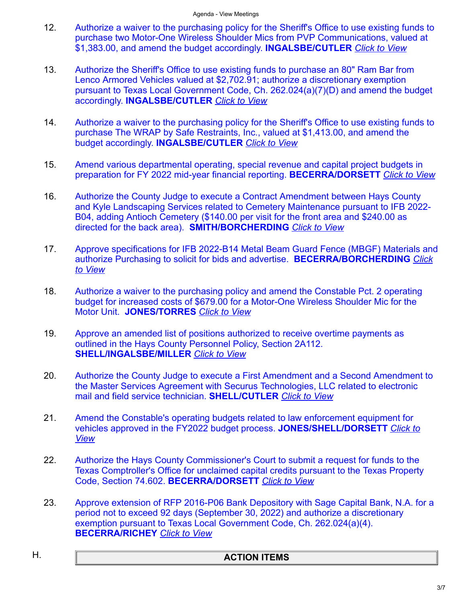- 12. [Authorize a waiver to the purchasing policy for the Sheriff's Office to use existing funds to](https://destinyhosted.com/agenda_publish.cfm?id=42972&mt=ALL&get_month=6&get_year=2022&dsp=agm&seq=111&rev=0&ag=3&ln=796&nseq=91&nrev=0&pseq=112&prev=0) purchase two Motor-One Wireless Shoulder Mics from PVP Communications, valued at \$1,383.00, and amend the budget accordingly. **INGALSBE/CUTLER** *[Click to View](https://destinyhosted.com/agenda_publish.cfm?id=42972&mt=ALL&get_month=6&get_year=2022&dsp=agm&seq=111&rev=0&ag=3&ln=796&nseq=91&nrev=0&pseq=112&prev=0)*
- 13. Authorize the Sheriff's Office to use existing funds to purchase an 80" Ram Bar from Lenco Armored Vehicles valued at \$2,702.91; authorize a discretionary exemption [pursuant to Texas Local Government Code, Ch. 262.024\(a\)\(7\)\(D\) and amend the budget](https://destinyhosted.com/agenda_publish.cfm?id=42972&mt=ALL&get_month=6&get_year=2022&dsp=agm&seq=91&rev=0&ag=3&ln=797&nseq=90&nrev=0&pseq=111&prev=0) accordingly. **INGALSBE/CUTLER** *[Click to View](https://destinyhosted.com/agenda_publish.cfm?id=42972&mt=ALL&get_month=6&get_year=2022&dsp=agm&seq=91&rev=0&ag=3&ln=797&nseq=90&nrev=0&pseq=111&prev=0)*
- 14. [Authorize a waiver to the purchasing policy for the Sheriff's Office to use existing funds to](https://destinyhosted.com/agenda_publish.cfm?id=42972&mt=ALL&get_month=6&get_year=2022&dsp=agm&seq=90&rev=0&ag=3&ln=798&nseq=113&nrev=0&pseq=91&prev=0) purchase The WRAP by Safe Restraints, Inc., valued at \$1,413.00, and amend the budget accordingly. **INGALSBE/CUTLER** *[Click to View](https://destinyhosted.com/agenda_publish.cfm?id=42972&mt=ALL&get_month=6&get_year=2022&dsp=agm&seq=90&rev=0&ag=3&ln=798&nseq=113&nrev=0&pseq=91&prev=0)*
- 15. [Amend various departmental operating, special revenue and capital project budgets in](https://destinyhosted.com/agenda_publish.cfm?id=42972&mt=ALL&get_month=6&get_year=2022&dsp=agm&seq=113&rev=0&ag=3&ln=800&nseq=123&nrev=0&pseq=90&prev=0) preparation for FY 2022 mid-year financial reporting. **BECERRA/DORSETT** *[Click to View](https://destinyhosted.com/agenda_publish.cfm?id=42972&mt=ALL&get_month=6&get_year=2022&dsp=agm&seq=113&rev=0&ag=3&ln=800&nseq=123&nrev=0&pseq=90&prev=0)*
- 16. Authorize the County Judge to execute a Contract Amendment between Hays County [and Kyle Landscaping Services related to Cemetery Maintenance pursuant to IFB 2022-](https://destinyhosted.com/agenda_publish.cfm?id=42972&mt=ALL&get_month=6&get_year=2022&dsp=agm&seq=123&rev=0&ag=3&ln=805&nseq=122&nrev=0&pseq=113&prev=0) B04, adding Antioch Cemetery (\$140.00 per visit for the front area and \$240.00 as directed for the back area). **SMITH/BORCHERDING** *[Click to View](https://destinyhosted.com/agenda_publish.cfm?id=42972&mt=ALL&get_month=6&get_year=2022&dsp=agm&seq=123&rev=0&ag=3&ln=805&nseq=122&nrev=0&pseq=113&prev=0)*
- 17. [Approve specifications for IFB 2022-B14 Metal Beam Guard Fence \(MBGF\) Materials and](https://destinyhosted.com/agenda_publish.cfm?id=42972&mt=ALL&get_month=6&get_year=2022&dsp=agm&seq=122&rev=0&ag=3&ln=804&nseq=120&nrev=0&pseq=123&prev=0) [authorize Purchasing to solicit for bids and advertise.](https://destinyhosted.com/agenda_publish.cfm?id=42972&mt=ALL&get_month=6&get_year=2022&dsp=agm&seq=122&rev=0&ag=3&ln=804&nseq=120&nrev=0&pseq=123&prev=0) **BECERRA/BORCHERDING** *Click to View*
- 18. [Authorize a waiver to the purchasing policy and amend the Constable Pct. 2 operating](https://destinyhosted.com/agenda_publish.cfm?id=42972&mt=ALL&get_month=6&get_year=2022&dsp=agm&seq=120&rev=0&ag=3&ln=806&nseq=125&nrev=0&pseq=122&prev=0) budget for increased costs of \$679.00 for a Motor-One Wireless Shoulder Mic for the Motor Unit. **JONES/TORRES** *[Click to View](https://destinyhosted.com/agenda_publish.cfm?id=42972&mt=ALL&get_month=6&get_year=2022&dsp=agm&seq=120&rev=0&ag=3&ln=806&nseq=125&nrev=0&pseq=122&prev=0)*
- 19. [Approve an amended list of positions authorized to receive overtime payments as](https://destinyhosted.com/agenda_publish.cfm?id=42972&mt=ALL&get_month=6&get_year=2022&dsp=agm&seq=125&rev=0&ag=3&ln=808&nseq=119&nrev=0&pseq=120&prev=0) outlined in the Hays County Personnel Policy, Section 2A112. **SHELL/INGALSBE/MILLER** *[Click to View](https://destinyhosted.com/agenda_publish.cfm?id=42972&mt=ALL&get_month=6&get_year=2022&dsp=agm&seq=125&rev=0&ag=3&ln=808&nseq=119&nrev=0&pseq=120&prev=0)*
- 20. Authorize the County Judge to execute a First Amendment and a Second Amendment to [the Master Services Agreement with Securus Technologies, LLC related to](https://destinyhosted.com/agenda_publish.cfm?id=42972&mt=ALL&get_month=6&get_year=2022&dsp=agm&seq=119&rev=0&ag=3&ln=812&nseq=57&nrev=0&pseq=125&prev=0) electronic mail and field service technician. **SHELL/CUTLER** *[Click to View](https://destinyhosted.com/agenda_publish.cfm?id=42972&mt=ALL&get_month=6&get_year=2022&dsp=agm&seq=119&rev=0&ag=3&ln=812&nseq=57&nrev=0&pseq=125&prev=0)*
- 21. [Amend the Constable's operating budgets related to law enforcement equipment for](https://destinyhosted.com/agenda_publish.cfm?id=42972&mt=ALL&get_month=6&get_year=2022&dsp=agm&seq=57&rev=0&ag=3&ln=820&nseq=118&nrev=0&pseq=119&prev=0) [vehicles approved in the FY2022 budget process.](https://destinyhosted.com/agenda_publish.cfm?id=42972&mt=ALL&get_month=6&get_year=2022&dsp=agm&seq=57&rev=0&ag=3&ln=820&nseq=118&nrev=0&pseq=119&prev=0) **JONES/SHELL/DORSETT** *Click to View*
- 22. Authorize the Hays County Commissioner's Court to submit a request for funds to the [Texas Comptroller's Office for unclaimed capital credits pursuant to the Texas Property](https://destinyhosted.com/agenda_publish.cfm?id=42972&mt=ALL&get_month=6&get_year=2022&dsp=agm&seq=118&rev=0&ag=3&ln=821&nseq=126&nrev=0&pseq=57&prev=0) Code, Section 74.602. **BECERRA/DORSETT** *[Click to View](https://destinyhosted.com/agenda_publish.cfm?id=42972&mt=ALL&get_month=6&get_year=2022&dsp=agm&seq=118&rev=0&ag=3&ln=821&nseq=126&nrev=0&pseq=57&prev=0)*
- 23. [Approve extension of RFP 2016-P06 Bank Depository with Sage Capital Bank, N.A. for a](https://destinyhosted.com/agenda_publish.cfm?id=42972&mt=ALL&get_month=6&get_year=2022&dsp=agm&seq=126&rev=0&ag=3&ln=817&nseq=&nrev=&pseq=118&prev=0) period not to exceed 92 days (September 30, 2022) and authorize a discretionary exemption pursuant to Texas Local Government Code, Ch. 262.024(a)(4). **BECERRA/RICHEY** *[Click to View](https://destinyhosted.com/agenda_publish.cfm?id=42972&mt=ALL&get_month=6&get_year=2022&dsp=agm&seq=126&rev=0&ag=3&ln=817&nseq=&nrev=&pseq=118&prev=0)*

### H. **ACTION ITEMS**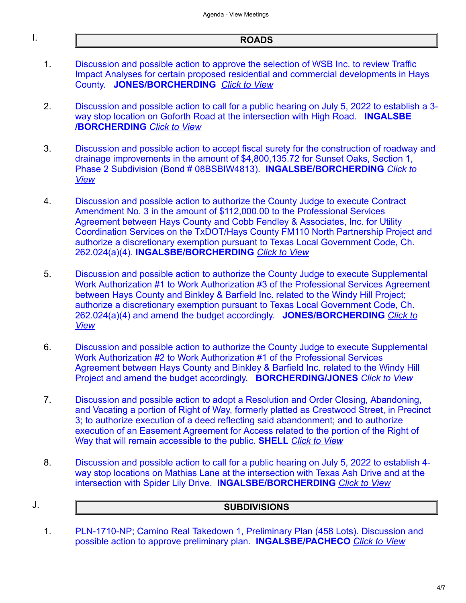#### I. **ROADS**

- 1. Discussion and possible action to approve the selection of WSB Inc. to review Traffic Impact Analyses for [certain proposed residential and commercial developments in Hays](https://destinyhosted.com/agenda_publish.cfm?id=42972&mt=ALL&get_month=6&get_year=2022&dsp=agm&seq=92&rev=0&ag=3&ln=780&nseq=101&nrev=0&pseq=&prev=) County. **JONES/BORCHERDING** *[Click to View](https://destinyhosted.com/agenda_publish.cfm?id=42972&mt=ALL&get_month=6&get_year=2022&dsp=agm&seq=92&rev=0&ag=3&ln=780&nseq=101&nrev=0&pseq=&prev=)*
- 2. [Discussion and possible action to call for a public hearing on July 5, 2022 to establish a 3](https://destinyhosted.com/agenda_publish.cfm?id=42972&mt=ALL&get_month=6&get_year=2022&dsp=agm&seq=101&rev=0&ag=3&ln=788&nseq=98&nrev=0&pseq=92&prev=0) way stop location on Goforth Road at the intersection with High Road. **INGALSBE /BORCHERDING** *[Click to View](https://destinyhosted.com/agenda_publish.cfm?id=42972&mt=ALL&get_month=6&get_year=2022&dsp=agm&seq=101&rev=0&ag=3&ln=788&nseq=98&nrev=0&pseq=92&prev=0)*
- 3. [Discussion and possible action to accept fiscal surety for the construction of roadway and](https://destinyhosted.com/agenda_publish.cfm?id=42972&mt=ALL&get_month=6&get_year=2022&dsp=agm&seq=98&rev=0&ag=3&ln=787&nseq=103&nrev=0&pseq=101&prev=0) drainage improvements in the amount of \$4,800,135.72 for Sunset Oaks, Section 1, [Phase 2 Subdivision \(Bond # 08BSBIW4813\).](https://destinyhosted.com/agenda_publish.cfm?id=42972&mt=ALL&get_month=6&get_year=2022&dsp=agm&seq=98&rev=0&ag=3&ln=787&nseq=103&nrev=0&pseq=101&prev=0) **INGALSBE/BORCHERDING** *Click to View*
- 4. Discussion and possible action to authorize the County Judge to execute Contract Amendment No. 3 in the amount of \$112,000.00 to the Professional Services Agreement between Hays County and Cobb Fendley & Associates, Inc. for Utility Coordination Services on the TxDOT/Hays County FM110 North Partnership Project and [authorize a discretionary exemption pursuant to Texas Local Government Code, Ch.](https://destinyhosted.com/agenda_publish.cfm?id=42972&mt=ALL&get_month=6&get_year=2022&dsp=agm&seq=103&rev=0&ag=3&ln=794&nseq=116&nrev=0&pseq=98&prev=0) 262.024(a)(4). **INGALSBE/BORCHERDING** *[Click to View](https://destinyhosted.com/agenda_publish.cfm?id=42972&mt=ALL&get_month=6&get_year=2022&dsp=agm&seq=103&rev=0&ag=3&ln=794&nseq=116&nrev=0&pseq=98&prev=0)*
- 5. Discussion and possible action to authorize the County Judge to execute Supplemental Work Authorization #1 to Work Authorization #3 of the Professional Services Agreement between Hays County and Binkley & Barfield Inc. related to the Windy Hill Project; [authorize a discretionary exemption pursuant to Texas Local Government Code, Ch.](https://destinyhosted.com/agenda_publish.cfm?id=42972&mt=ALL&get_month=6&get_year=2022&dsp=agm&seq=116&rev=0&ag=3&ln=802&nseq=127&nrev=0&pseq=103&prev=0) [262.024\(a\)\(4\) and amend the budget accordingly.](https://destinyhosted.com/agenda_publish.cfm?id=42972&mt=ALL&get_month=6&get_year=2022&dsp=agm&seq=116&rev=0&ag=3&ln=802&nseq=127&nrev=0&pseq=103&prev=0) **JONES/BORCHERDING** *Click to View*
- 6. [Discussion and possible action to authorize the County Judge to execute Supplemental](https://destinyhosted.com/agenda_publish.cfm?id=42972&mt=ALL&get_month=6&get_year=2022&dsp=agm&seq=127&rev=0&ag=3&ln=807&nseq=129&nrev=0&pseq=116&prev=0) Work Authorization #2 to Work Authorization #1 of the Professional Services Agreement between Hays County and Binkley & Barfield Inc. related to the Windy Hill Project and amend the budget accordingly. **BORCHERDING/JONES** *[Click to View](https://destinyhosted.com/agenda_publish.cfm?id=42972&mt=ALL&get_month=6&get_year=2022&dsp=agm&seq=127&rev=0&ag=3&ln=807&nseq=129&nrev=0&pseq=116&prev=0)*
- 7. [Discussion and possible action to adopt a Resolution and Order Closing, Abandoning,](https://destinyhosted.com/agenda_publish.cfm?id=42972&mt=ALL&get_month=6&get_year=2022&dsp=agm&seq=129&rev=0&ag=3&ln=813&nseq=104&nrev=0&pseq=127&prev=0) and Vacating a portion of Right of Way, formerly platted as Crestwood Street, in Precinct 3; to authorize execution of a deed reflecting said abandonment; and to authorize execution of an Easement Agreement for Access related to the portion of the Right of Way that will remain accessible to the public. **SHELL** *[Click to View](https://destinyhosted.com/agenda_publish.cfm?id=42972&mt=ALL&get_month=6&get_year=2022&dsp=agm&seq=129&rev=0&ag=3&ln=813&nseq=104&nrev=0&pseq=127&prev=0)*
- 8. [Discussion and possible action to call for a public hearing on July 5, 2022 to establish 4](https://destinyhosted.com/agenda_publish.cfm?id=42972&mt=ALL&get_month=6&get_year=2022&dsp=agm&seq=104&rev=0&ag=3&ln=822&nseq=&nrev=&pseq=129&prev=0) way stop locations on Mathias Lane at the intersection with Texas Ash Drive and at the intersection with Spider Lily Drive. **INGALSBE/BORCHERDING** *[Click to View](https://destinyhosted.com/agenda_publish.cfm?id=42972&mt=ALL&get_month=6&get_year=2022&dsp=agm&seq=104&rev=0&ag=3&ln=822&nseq=&nrev=&pseq=129&prev=0)*

# J. **SUBDIVISIONS**

1. [PLN-1710-NP; Camino Real Takedown 1, Preliminary Plan \(458 Lots\). Discussion and](https://destinyhosted.com/agenda_publish.cfm?id=42972&mt=ALL&get_month=6&get_year=2022&dsp=agm&seq=105&rev=0&ag=3&ln=809&nseq=128&nrev=0&pseq=&prev=) possible action to approve preliminary plan. **INGALSBE/PACHECO** *[Click to View](https://destinyhosted.com/agenda_publish.cfm?id=42972&mt=ALL&get_month=6&get_year=2022&dsp=agm&seq=105&rev=0&ag=3&ln=809&nseq=128&nrev=0&pseq=&prev=)*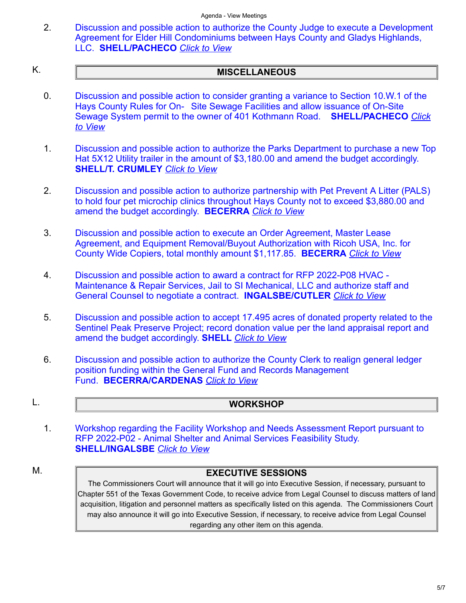2. [Discussion and possible action to authorize the County Judge to execute a Development](https://destinyhosted.com/agenda_publish.cfm?id=42972&mt=ALL&get_month=6&get_year=2022&dsp=agm&seq=128&rev=0&ag=3&ln=811&nseq=&nrev=&pseq=105&prev=0) Agreement for Elder Hill Condominiums between Hays County and Gladys Highlands, LLC. **SHELL/PACHECO** *[Click to View](https://destinyhosted.com/agenda_publish.cfm?id=42972&mt=ALL&get_month=6&get_year=2022&dsp=agm&seq=128&rev=0&ag=3&ln=811&nseq=&nrev=&pseq=105&prev=0)*

## K. **MISCELLANEOUS**

- 0. [Discussion and possible action to consider granting a variance to Section 10.W.1 of the](https://destinyhosted.com/agenda_publish.cfm?id=42972&mt=ALL&get_month=6&get_year=2022&dsp=agm&seq=138&rev=0&ag=3&ln=873&nseq=87&nrev=0&pseq=&prev=) Hays County Rules for On- Site Sewage Facilities and allow issuance of On-Site [Sewage System permit to the owner of 401 Kothmann Road.](https://destinyhosted.com/agenda_publish.cfm?id=42972&mt=ALL&get_month=6&get_year=2022&dsp=agm&seq=138&rev=0&ag=3&ln=873&nseq=87&nrev=0&pseq=&prev=) **SHELL/PACHECO** *Click to View*
- 1. [Discussion and possible action to authorize the Parks Department to purchase a new Top](https://destinyhosted.com/agenda_publish.cfm?id=42972&mt=ALL&get_month=6&get_year=2022&dsp=agm&seq=87&rev=0&ag=3&ln=778&nseq=99&nrev=0&pseq=138&prev=0) Hat 5X12 Utility trailer in the amount of \$3,180.00 and amend the budget accordingly. **SHELL/T. CRUMLEY** *[Click to View](https://destinyhosted.com/agenda_publish.cfm?id=42972&mt=ALL&get_month=6&get_year=2022&dsp=agm&seq=87&rev=0&ag=3&ln=778&nseq=99&nrev=0&pseq=138&prev=0)*
- 2. [Discussion and possible action to authorize partnership with Pet Prevent A Litter \(PALS\)](https://destinyhosted.com/agenda_publish.cfm?id=42972&mt=ALL&get_month=6&get_year=2022&dsp=agm&seq=99&rev=0&ag=3&ln=791&nseq=121&nrev=0&pseq=87&prev=0) to hold four pet microchip clinics throughout Hays County not to exceed \$3,880.00 and amend the budget accordingly. **BECERRA** *[Click to View](https://destinyhosted.com/agenda_publish.cfm?id=42972&mt=ALL&get_month=6&get_year=2022&dsp=agm&seq=99&rev=0&ag=3&ln=791&nseq=121&nrev=0&pseq=87&prev=0)*
- 3. Discussion and possible action to execute an Order Agreement, Master Lease [Agreement, and Equipment Removal/Buyout Authorization with Ricoh USA, Inc. for](https://destinyhosted.com/agenda_publish.cfm?id=42972&mt=ALL&get_month=6&get_year=2022&dsp=agm&seq=121&rev=0&ag=3&ln=803&nseq=134&nrev=0&pseq=99&prev=0) County Wide Copiers, total monthly amount \$1,117.85. **BECERRA** *[Click to View](https://destinyhosted.com/agenda_publish.cfm?id=42972&mt=ALL&get_month=6&get_year=2022&dsp=agm&seq=121&rev=0&ag=3&ln=803&nseq=134&nrev=0&pseq=99&prev=0)*
- 4. Discussion and possible action to award a contract for RFP 2022-P08 HVAC [Maintenance & Repair Services, Jail to SI Mechanical, LLC and authorize staff and](https://destinyhosted.com/agenda_publish.cfm?id=42972&mt=ALL&get_month=6&get_year=2022&dsp=agm&seq=134&rev=0&ag=3&ln=816&nseq=132&nrev=0&pseq=121&prev=0) General Counsel to negotiate a contract. **INGALSBE/CUTLER** *[Click to View](https://destinyhosted.com/agenda_publish.cfm?id=42972&mt=ALL&get_month=6&get_year=2022&dsp=agm&seq=134&rev=0&ag=3&ln=816&nseq=132&nrev=0&pseq=121&prev=0)*
- 5. [Discussion and possible action to accept 17.495 acres of donated property related to the](https://destinyhosted.com/agenda_publish.cfm?id=42972&mt=ALL&get_month=6&get_year=2022&dsp=agm&seq=132&rev=0&ag=3&ln=818&nseq=95&nrev=0&pseq=134&prev=0) Sentinel Peak Preserve Project; record donation value per the land appraisal report and amend the budget accordingly. **SHELL** *[Click to View](https://destinyhosted.com/agenda_publish.cfm?id=42972&mt=ALL&get_month=6&get_year=2022&dsp=agm&seq=132&rev=0&ag=3&ln=818&nseq=95&nrev=0&pseq=134&prev=0)*
- 6. [Discussion and possible action to authorize the County Clerk to realign general ledger](https://destinyhosted.com/agenda_publish.cfm?id=42972&mt=ALL&get_month=6&get_year=2022&dsp=agm&seq=95&rev=0&ag=3&ln=783&nseq=&nrev=&pseq=132&prev=0) position funding within the General Fund and Records Management Fund. **BECERRA/CARDENAS** *[Click to View](https://destinyhosted.com/agenda_publish.cfm?id=42972&mt=ALL&get_month=6&get_year=2022&dsp=agm&seq=95&rev=0&ag=3&ln=783&nseq=&nrev=&pseq=132&prev=0)*
- 

#### L. **WORKSHOP**

1. [Workshop regarding the Facility Workshop and Needs Assessment Report pursuant to](https://destinyhosted.com/agenda_publish.cfm?id=42972&mt=ALL&get_month=6&get_year=2022&dsp=agm&seq=124&rev=0&ag=3&ln=810&nseq=&nrev=&pseq=&prev=) RFP 2022-P02 - Animal Shelter and Animal Services Feasibility Study. **SHELL/INGALSBE** *[Click to View](https://destinyhosted.com/agenda_publish.cfm?id=42972&mt=ALL&get_month=6&get_year=2022&dsp=agm&seq=124&rev=0&ag=3&ln=810&nseq=&nrev=&pseq=&prev=)*

#### M.

The Commissioners Court will announce that it will go into Executive Session, if necessary, pursuant to Chapter 551 of the Texas Government Code, to receive advice from Legal Counsel to discuss matters of land acquisition, litigation and personnel matters as specifically listed on this agenda. The Commissioners Court may also announce it will go into Executive Session, if necessary, to receive advice from Legal Counsel regarding any other item on this agenda.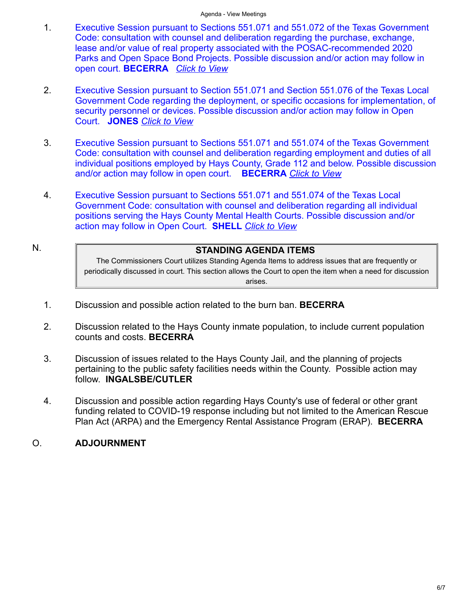- 1. [Executive Session pursuant to Sections 551.071 and 551.072 of the Texas Government](https://destinyhosted.com/agenda_publish.cfm?id=42972&mt=ALL&get_month=6&get_year=2022&dsp=agm&seq=93&rev=0&ag=3&ln=781&nseq=94&nrev=0&pseq=&prev=) Code: consultation with counsel and deliberation regarding the purchase, exchange, lease and/or value of real property associated with the POSAC-recommended 2020 Parks and Open Space Bond Projects. Possible discussion and/or action may follow in open court. **BECERRA** *[Click to View](https://destinyhosted.com/agenda_publish.cfm?id=42972&mt=ALL&get_month=6&get_year=2022&dsp=agm&seq=93&rev=0&ag=3&ln=781&nseq=94&nrev=0&pseq=&prev=)*
- 2. Executive Session pursuant to Section 551.071 and Section 551.076 of the Texas Local [Government Code regarding the deployment, or specific occasions for implementation, of](https://destinyhosted.com/agenda_publish.cfm?id=42972&mt=ALL&get_month=6&get_year=2022&dsp=agm&seq=94&rev=0&ag=3&ln=782&nseq=117&nrev=0&pseq=93&prev=0) security personnel or devices. Possible discussion and/or action may follow in Open Court. **JONES** *[Click to View](https://destinyhosted.com/agenda_publish.cfm?id=42972&mt=ALL&get_month=6&get_year=2022&dsp=agm&seq=94&rev=0&ag=3&ln=782&nseq=117&nrev=0&pseq=93&prev=0)*
- 3. Executive Session pursuant to Sections 551.071 and 551.074 of the Texas Government [Code: consultation with counsel and deliberation regarding employment and duties of all](https://destinyhosted.com/agenda_publish.cfm?id=42972&mt=ALL&get_month=6&get_year=2022&dsp=agm&seq=117&rev=0&ag=3&ln=801&nseq=139&nrev=0&pseq=94&prev=0) individual positions employed by Hays County, Grade 112 and below. Possible discussion and/or action may follow in open court. **BECERRA** *[Click to View](https://destinyhosted.com/agenda_publish.cfm?id=42972&mt=ALL&get_month=6&get_year=2022&dsp=agm&seq=117&rev=0&ag=3&ln=801&nseq=139&nrev=0&pseq=94&prev=0)*
- 4. Executive Session pursuant to Sections 551.071 and 551.074 of the Texas Local [Government Code: consultation with counsel and deliberation regarding all individual](https://destinyhosted.com/agenda_publish.cfm?id=42972&mt=ALL&get_month=6&get_year=2022&dsp=agm&seq=139&rev=0&ag=3&ln=874&nseq=&nrev=&pseq=117&prev=0) positions serving the Hays County Mental Health Courts. Possible discussion and/or action may follow in Open Court. **SHELL** *[Click to View](https://destinyhosted.com/agenda_publish.cfm?id=42972&mt=ALL&get_month=6&get_year=2022&dsp=agm&seq=139&rev=0&ag=3&ln=874&nseq=&nrev=&pseq=117&prev=0)*
- 

### N. **STANDING AGENDA ITEMS**

The Commissioners Court utilizes Standing Agenda Items to address issues that are frequently or periodically discussed in court. This section allows the Court to open the item when a need for discussion arises.

- 1. Discussion and possible action related to the burn ban. **BECERRA**
- 2. Discussion related to the Hays County inmate population, to include current population counts and costs. **BECERRA**
- 3. Discussion of issues related to the Hays County Jail, and the planning of projects pertaining to the public safety facilities needs within the County. Possible action may follow. **INGALSBE/CUTLER**
- 4. Discussion and possible action regarding Hays County's use of federal or other grant funding related to COVID-19 response including but not limited to the American Rescue Plan Act (ARPA) and the Emergency Rental Assistance Program (ERAP). **BECERRA**

#### O. **ADJOURNMENT**